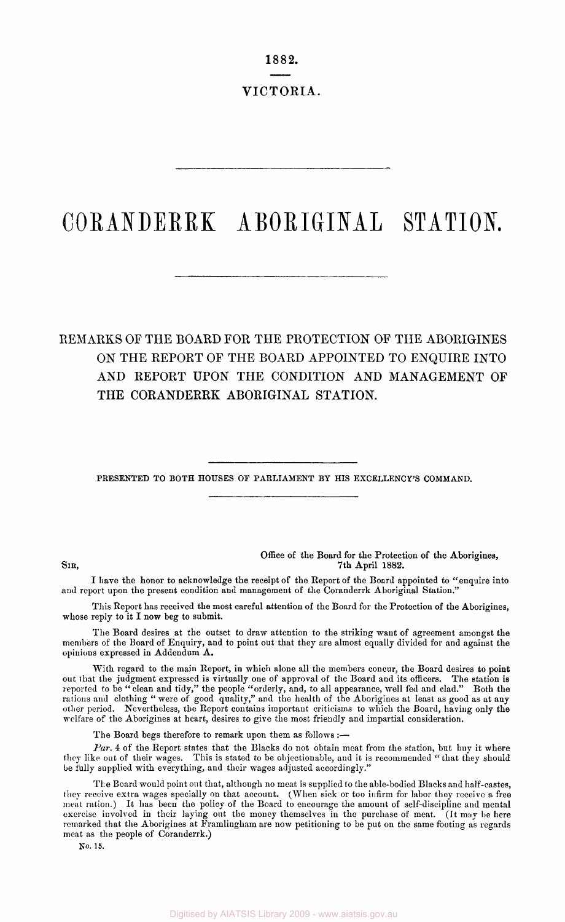1882.

VICTORIA.

# **CORANDERR K ABORIGINA L STATION .**

## REMARKS OF THE BOARD FOR THE PROTECTION OF THE ABORIGINES ON THE REPORT OF THE BOARD APPOINTED TO ENQUIRE INTO AND REPORT UPON THE CONDITION AND MANAGEMENT OF THE CORANDERRK ABORIGINAL STATION.

PRESENTED TO BOTH HOUSES OF PARLIAMENT BY HIS EXCELLENCY'S COMMAND.

Office of the Board for the Protection of the Aborigines, SIR, 7th April 1882.

I have the honor to acknowledge the receipt of the Report of the Board appointed to "enquire into and report upon the present condition and management of the Coranderrk Aboriginal Station."

This Report has received the most careful attention of the Board for the Protection of the Aborigines, whose reply to it I now beg to submit.

The Board desires at the outset to draw attention to the striking want of agreement amongst the members of the Board of Enquiry, and to point out that they are almost equally divided for and against the opinions expressed in Addendum A.

With regard to the main Report, in which alone all the members concur, the Board desires to point out that the judgment expressed is virtually one of approval of the Board and its officers. The station is reported to be "clean and tidy," the people "orderly, and, to all appearance, well fed and clad." Both the rations and clothing " were of good quality," and the health of the Aborigines at least as good as at any other period. Nevertheless, the Report contains important criticisms to which the Board, having only the welfare of the Aborigines at heart, desires to give the most friendly and impartial consideration.

The Board begs therefore to remark upon them as follows :-

*Par.* 4 of the Report states that the Blacks do not obtain meat from the station, but buy it where they like out of their wages. This is stated to be objectionable, and it is recommended " that they should be fully supplied with everything, and their wages adjusted accordingly."

The Board would point out that, although no meat is supplied to the able-bodied Blacks and half-castes, they receive extra wages specially on that account. (When sick or too infirm for labor they receive a free meat ration.) It has been the policy of the Board to encourage the amount of self-discipline and mental exercise involved in their laying out the money themselves in the purchase of meat. (It may be here remarked that the Aborigines at Framlingham are now petitioning to be put on the same footing as regards meat as the people of Coranderrk.)

No. 15.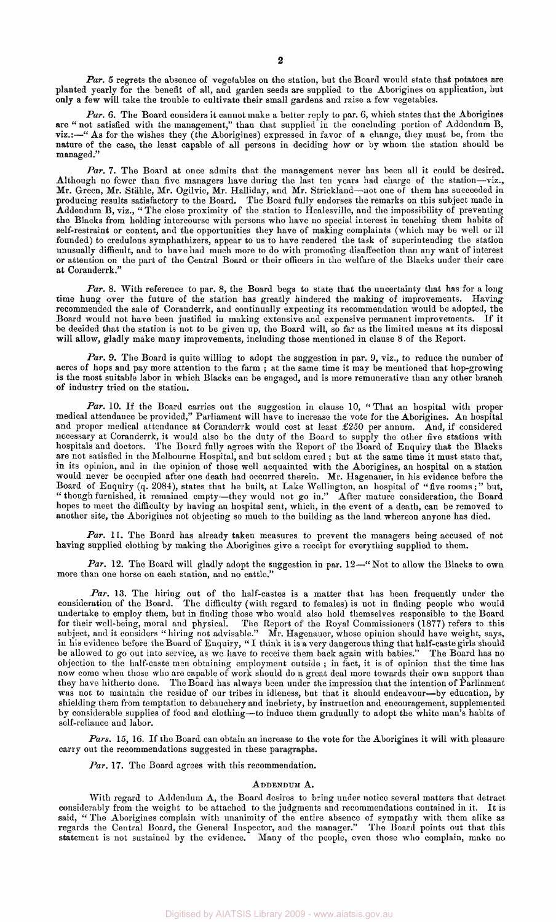Par. 5 regrets the absence of vegetables on the station, but the Board would state that potatoes are planted yearly for the benefit of all, and garden seeds are supplied to the Aborigines on application, but only a few will take the trouble to cultivate their small gardens and raise a few vegetables.

*Par.* 6. The Board considers it cannot make a better reply to par. 6, which states that the Aborigines are " not satisfied with the management," than that supplied in the concluding portion of Addendum B, viz.:—" As for the wishes they (the Aborigines) expressed in favor of a change, they must be, from the nature of the case, the least capable of all persons in deciding how or by whom the station should be managed."

*Par. 7.* The Board at once admits that the management never has been all it could be desired. Although no fewer than five managers have during the last ten years had charge of the station—viz., Mr. Green, Mr. Stahle, Mr. Ogilvie, Mr. Halliday, and Mr. Strickland—not one of them has succeeded in producing results satisfactory to the Board. The Board fully endorses the remarks on this subject made in Addendum B, viz., "The close proximity of the station to Healesville, and the impossibility of preventing the Blacks from holding intercourse with persons who have no special interest in teaching them habits of self-restraint or content, and the opportunities they have of making complaints (which may be well or ill founded) to credulous symphathizers, appear to us to have rendered the task of superintending the station unusually difficult, and to have had much more to do with promoting disaffection than any want of interest or attention on the part of the Central Board or their officers in the welfare of the Blacks under their care at Coranderrk."

Par. 8. With reference to par. 8, the Board begs to state that the uncertainty that has for a long time hung over the future of the station has greatly hindered the making of improvements. Having recommended the sale of Coranderrk, and continually expecting its recommendation would be adopted, the Board would not have been justified in making extensive and expensive permanent improvements. If it be decided that the station is not to be given up, the Board will, so far as the limited means at its disposal will allow, gladly make many improvements, including those mentioned in clause 8 of the Report.

*Par.* 9. The Board is quite willing to adopt the suggestion in par. 9, viz., to reduce the number of acres of hops and pay more attention to the farm; at the same time it may be mentioned that hop-growing is the most suitable labor in which Blacks can be engaged, and is more remunerative than any other branch of industry tried on the station.

*Par.* 10. If the Board carries out the suggestion in clause 10, " That an hospital with proper medical attendance be provided," Parliament will have to increase the vote for the Aborigines. An hospital and proper medical attendance at Coranderrk would cost at least £250 per annum. And, if considered necessary at Coranderrk, it would also be the duty of the Board to supply the other five stations with hospitals and doctors. The Board fully agrees with the Report of the Board of Enquiry that the Blacks are not satisfied in the Melbourne Hospital, and but seldom cured ; but at the same time it must state that, in its opinion, and in the opinion of those well acquainted with the Aborigines, an hospital on a station would never be occupied after one death had occurred therein. Mr. Hagenauer, in his evidence before the Board of Enquiry (q. 2084), states that he built, at Lake Wellington, an hospital of "five rooms;" but, " though furnished, it remained empty—they would not go in." After mature consideration, the Board hopes to meet the difficulty by having an hospital sent, which, in the event of a death, can be removed to another site, the Aborigines not objecting so much to the building as the land whereon anyone has died.

*Par.* 11. The Board has already taken measures to prevent the managers being accused of not having supplied clothing by making the Aborigines give a receipt for everything supplied to them.

Par. 12. The Board will gladly adopt the suggestion in par. 12-"Not to allow the Blacks to own more than one horse on each station, and no cattle."

*Par.* 13. The hiring out of the half-castes is a matter that has been frequently under the consideration of the Board. The difficulty (with regard to females) is not in finding people who would undertake to employ them, but in finding those who would also hold themselves responsible to the Board for their well-being, moral and physical. The Report of the Royal Commissioners (1877) refers to this subject, and it considers " hiring not advisable." Mr. Hagenauer, whose opinion should have weight, says, in his evidence before the Board of Enquiry, " I think it is a very dangerous thing that half-caste girls should be allowed to go out into service, as we have to receive them back again with babies." The Board has no objection to the half-caste men obtaining employment outside ; in fact, it is of opinion that the time has now come when those who are capable of work should do a great deal more towards their own support than they have hitherto done. The Board has always been under the impression that the intention of Parliament was not to maintain the residue of our tribes in idleness, but that it should endeavour—by education, by shielding them from temptation to debauchery and inebriety, by instruction and encouragement, supplemented by considerable supplies of food and clothing—to induce them gradually to adopt the white man's habits of self-reliance and labor.

Pars. 15, 16. If the Board can obtain an increase to the vote for the Aborigines it will with pleasure carry out the recommendations suggested in these paragraphs.

*Par.* 17. The Board agrees with this recommendation.

#### ADDENDUM A.

With regard *to* Addendum A, the Board desires to bring under notice several matters that detract considerably from the weight to be attached to the judgments and recommendations contained in it. It is said, " The Aborigines complain with unanimity of the entire absence of sympathy with them alike as regards the Central Board, the General Inspector, and the manager." The Board points out that this statement is not sustained by the evidence. Many of the people, even those who complain, make no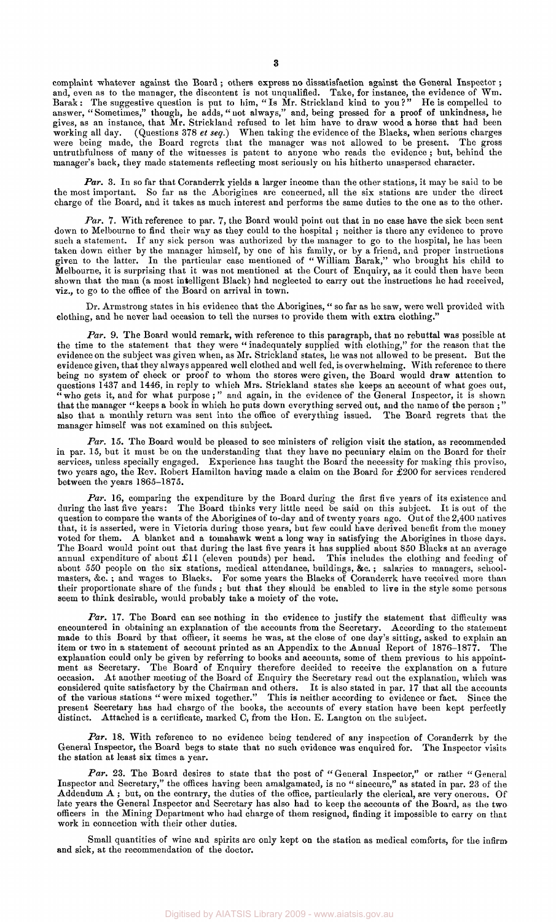complaint whatever against the Board ; others express no dissatisfaction against the General Inspector ; and, even as to the manager, the discontent is not unqualified. Take, for instance, the evidence of Wm. Barak: The suggestive question is put to him, " Is Mr. Strickland kind to you ? " He is compelled to answer, " Sometimes," though, he adds," not always," and, being pressed for a proof of unkindness, he gives, as an instance, that Mr. Strickland refused to let him have to draw wood a horse that had been working all day. (Questions 378 *et seq.)* When taking the evidence of the Blacks, when serious charges were being made, the Board regrets that the manager was not allowed to be present. The gross untruthfulness of many of the witnesses is patent to anyone who reads the evidence ; but, behind the manager's back, they made statements reflecting most seriously on his hitherto unaspersed character.

Par. 3. In so far that Coranderrk yields a larger income than the other stations, it may be said to be the most important. So far as the Aborigines are concerned, all the six stations are under the direct charge of the Board, and it takes as much interest and performs the same duties to the one as to the other.

*Par.* 7. With reference to par. 7, the Board would point out that in no case have the sick been sent down to Melbourne to find their way as they could to the hospital ; neither is there any evidence to prove such a statement. If any sick person was authorized by the manager to go to the hospital, he has been taken down either by the manager himself, by one of his family, or by a friend, and proper instructions given to the latter. In the particular case mentioned of " William Barak," who brought his child to Melbourne, it is surprising that it was not mentioned at the Court of Enquiry, as it could then have been shown that the man (a most intelligent Black) had neglected to carry out the instructions he had received, viz., to go to the office of the Board on arrival in town.

Dr. Armstrong states in his evidence that the Aborigines, " so far as he saw, were well provided with clothing, and he never had occasion to tell the nurses to provide them with extra clothing."

Par. 9. The Board would remark, with reference to this paragraph, that no rebuttal was possible at the time to the statement that they were " inadequately supplied with clothing," for the reason that the evidence on the subject was given when, as Mr. Strickland states, he was not allowed to be present. But the evidence given, that they always appeared well clothed and well fed, is overwhelming. With reference to there being no system of check or proof to whom the stores were given, the Board would draw attention to questions 1437 and 1446, in reply to which Mrs. Strickland states she keeps an account of what goes out,  $\cdots$  who gets it, and for what purpose;" and again, in the evidence of the General Inspector, it is shown that the manager "keeps a book in which he puts down everything served out, and the name of the person ;" also that a monthly return was sent into the office of everything issued. The Board regrets that the manager himself was not examined on this subject.

*Par.* 15. The Board would be pleased to see ministers of religion visit the station, as recommended in par. 15, but it must be on the understanding that they have no pecuniary claim on the Board for their services, unless specially engaged. Experience has taught the Board the necessity for making this proviso, two years ago, the Rev. Robert Hamilton having made a claim on the Board for £200 for services rendered between the years 1865-1875.

*Par.* 16, comparing the expenditure by the Board during the first five years of its existence and during the last five years: The Board thinks very little need be said on this subject. It is out of the question to compare the wants of the Aborigines of to-day and of twenty years ago. Out of the 2,400 natives that, it is asserted, were in Victoria during those years, but few could have derived benefit from the money voted for them. A blanket and a tomahawk went a long way in satisfying the Aborigines in those days. The Board would point out that during the last five years it has supplied about 850 Blacks at an average annual expenditure of about £11 (eleven pounds) per head. This includes the clothing and feeding of about 550 people on the six stations, medical attendance, buildings, &c.; salaries to managers, schoolmasters, &c. ; and wages to Blacks. For some years the Blacks of Coranderrk have received more than their proportionate share of the funds ; but that they should be enabled to live in the style some persons seem to think desirable, would probably take a moiety of the vote.

*Par.* 17. The Board can see nothing in the evidence to justify the statement that difficulty was encountered in obtaining an explanation of the accounts from the Secretary. According to the statement made to this Board by that officer, it seems he was, at the close of one day's sitting, asked to explain an item or two in a statement of account printed as an Appendix to the Annual Report of 1876-1877. The explanation could only be given by referring to books and accounts, some of them previous to his appointment as Secretary. The Board of Enquiry therefore decided to receive the explanation on a future occasion. At another meeting of the Board of Enquiry the Secretary read out the explanation, which was considered quite satisfactory by the Chairman and others. It is also stated in par. 17 that all the accounts of the various stations " were mixed together." This is neither according to evidence or fact. Since the present Secretary has had charge of the books, the accounts of every station have been kept perfectly distinct. Attached is a certificate, marked C, from the Hon. E. Langton on the subject.

*Par.* 18. With reference to no evidence being tendered of any inspection of Coranderrk by the General Inspector, the Board begs to state that no such evidence was enquired for. The Inspector visits the station at least six times a year.

Par. 23. The Board desires to state that the post of "General Inspector," or rather "General Inspector and Secretary," the offices having been amalgamated, is no " sinecure," as stated in par. 23 of the Addendum A ; but, on the contrary, the duties of the office, particularly the clerical, are very onerous. Of late years the General Inspector and Secretary has also had to keep the accounts of the Board, as the two officers in the Mining Department who had charge of them resigned, finding it impossible to carry on that work in connection with their other duties.

Small quantities of wine and spirits are only kept on the station as medical comforts, for the infirm and sick, at the recommendation of the doctor.